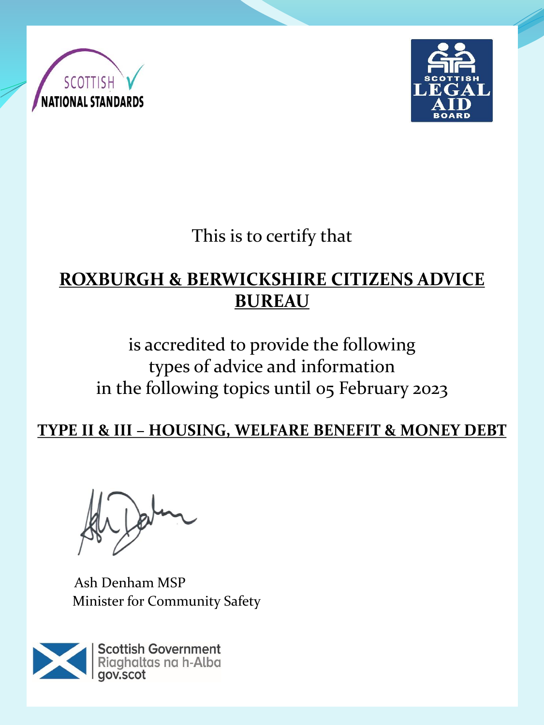



This is to certify that

# **ROXBURGH & BERWICKSHIRE CITIZENS ADVICE BUREAU**

is accredited to provide the following types of advice and information in the following topics until 05 February 2023

**TYPE II & III – HOUSING, WELFARE BENEFIT & MONEY DEBT** 

Ash Denham MSP Minister for Community Safety

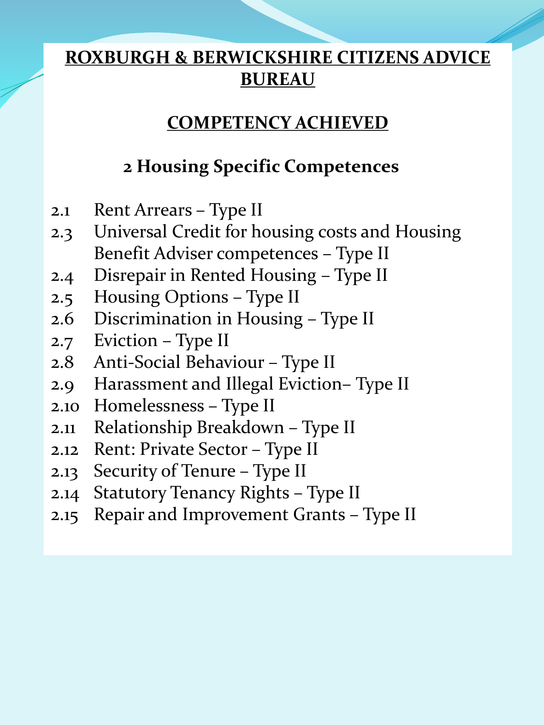### **COMPETENCY ACHIEVED**

# **2 Housing Specific Competences**

- 2.1 Rent Arrears Type II
- 2.3 Universal Credit for housing costs and Housing Benefit Adviser competences – Type II
- 2.4 Disrepair in Rented Housing Type II
- 2.5 Housing Options Type II
- 2.6 Discrimination in Housing Type II
- 2.7 Eviction Type II
- 2.8 Anti-Social Behaviour Type II
- 2.9 Harassment and Illegal Eviction– Type II
- 2.10 Homelessness Type II
- 2.11 Relationship Breakdown Type II
- 2.12 Rent: Private Sector Type II
- 2.13 Security of Tenure Type II
- 2.14 Statutory Tenancy Rights Type II
- 2.15 Repair and Improvement Grants Type II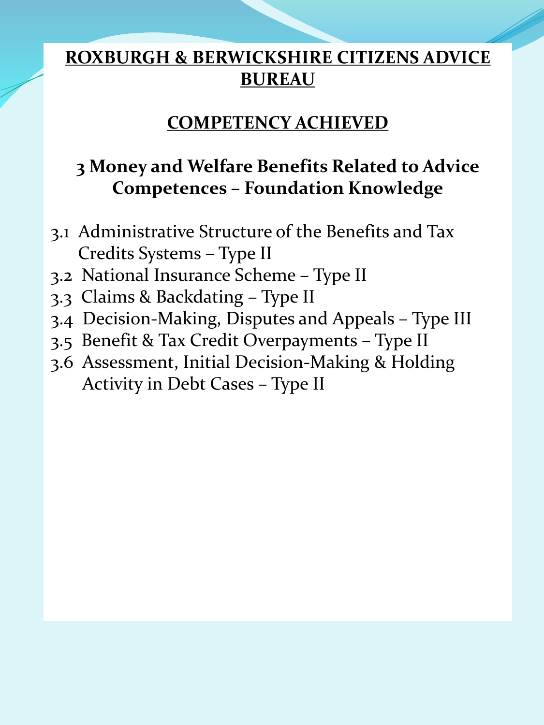#### **COMPETENCY ACHIEVED**

# **3 Money and Welfare Benefits Related to Advice Competences – Foundation Knowledge**

- 3.1 Administrative Structure of the Benefits and Tax Credits Systems – Type II
- 3.2 National Insurance Scheme Type II
- 3.3 Claims & Backdating Type II
- 3.4 Decision-Making, Disputes and Appeals Type III
- 3.5 Benefit & Tax Credit Overpayments Type II
- 3.6 Assessment, Initial Decision-Making & Holding Activity in Debt Cases – Type II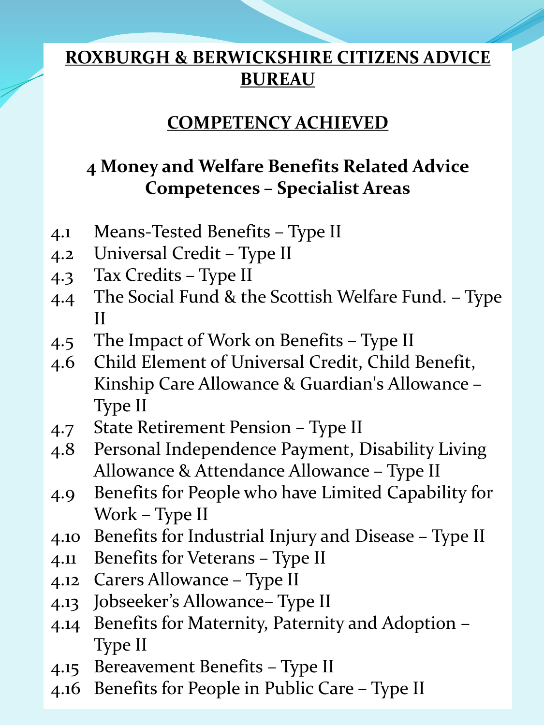#### **COMPETENCY ACHIEVED**

# **4 Money and Welfare Benefits Related Advice Competences – Specialist Areas**

- 4.1 Means-Tested Benefits Type II
- 4.2 Universal Credit Type II
- 4.3 Tax Credits Type II
- 4.4 The Social Fund & the Scottish Welfare Fund. Type II
- 4.5 The Impact of Work on Benefits Type II
- 4.6 Child Element of Universal Credit, Child Benefit, Kinship Care Allowance & Guardian's Allowance – Type II
- 4.7 State Retirement Pension Type II
- 4.8 Personal Independence Payment, Disability Living Allowance & Attendance Allowance – Type II
- 4.9 Benefits for People who have Limited Capability for Work – Type II
- 4.10 Benefits for Industrial Injury and Disease Type II
- 4.11 Benefits for Veterans Type II
- 4.12 Carers Allowance Type II
- 4.13 Jobseeker's Allowance– Type II
- 4.14 Benefits for Maternity, Paternity and Adoption Type II
- 4.15 Bereavement Benefits Type II
- 4.16 Benefits for People in Public Care Type II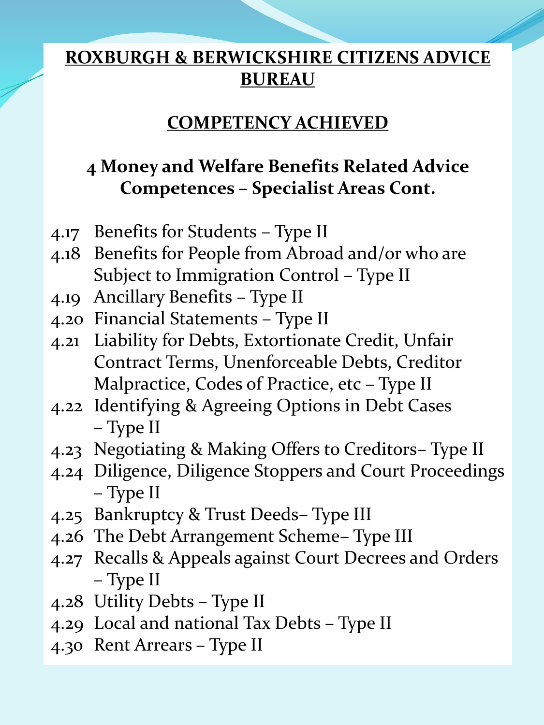#### **COMPETENCY ACHIEVED**

# **4 Money and Welfare Benefits Related Advice Competences – Specialist Areas Cont.**

- 4.17 Benefits for Students Type II
- 4.18 Benefits for People from Abroad and/or who are Subject to Immigration Control – Type II
- 4.19 Ancillary Benefits Type II
- 4.20 Financial Statements Type II
- 4.21 Liability for Debts, Extortionate Credit, Unfair Contract Terms, Unenforceable Debts, Creditor Malpractice, Codes of Practice, etc – Type II
- 4.22 Identifying & Agreeing Options in Debt Cases – Type II
- 4.23 Negotiating & Making Offers to Creditors– Type II
- 4.24 Diligence, Diligence Stoppers and Court Proceedings – Type II
- 4.25 Bankruptcy & Trust Deeds– Type III
- 4.26 The Debt Arrangement Scheme– Type III
- 4.27 Recalls & Appeals against Court Decrees and Orders – Type II
- 4.28 Utility Debts Type II
- 4.29 Local and national Tax Debts Type II
- 4.30 Rent Arrears Type II